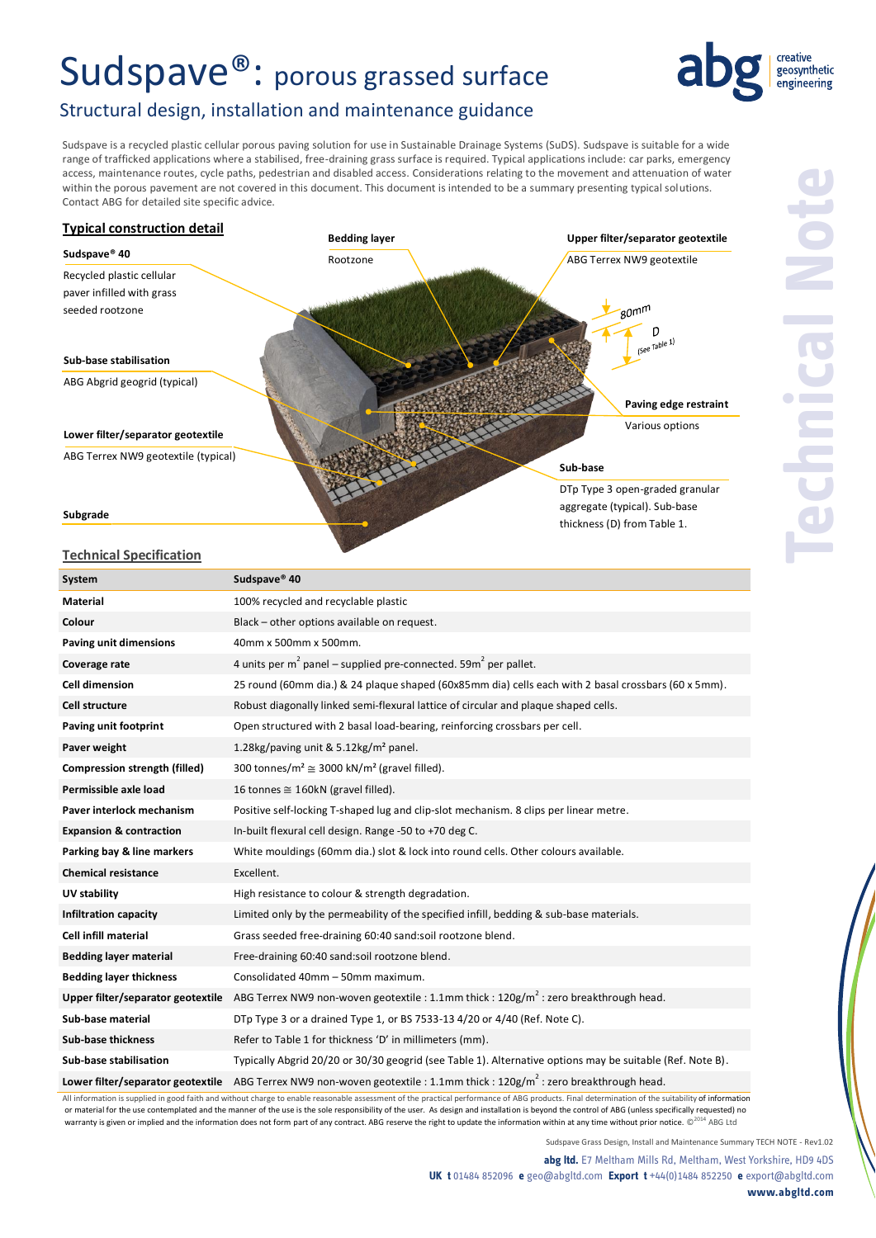# Sudspave®: porous grassed surface



## Structural design, installation and maintenance guidance

Sudspave is a recycled plastic cellular porous paving solution for use in Sustainable Drainage Systems (SuDS). Sudspave is suitable for a wide range of trafficked applications where a stabilised, free-draining grass surface is required. Typical applications include: car parks, emergency access, maintenance routes, cycle paths, pedestrian and disabled access. Considerations relating to the movement and attenuation of water within the porous pavement are not covered in this document. This document is intended to be a summary presenting typical solutions. Contact ABG for detailed site specific advice.



### **Technical Specification**

| System                               | Sudspave <sup>®</sup> 40                                                                                  |  |
|--------------------------------------|-----------------------------------------------------------------------------------------------------------|--|
| <b>Material</b>                      | 100% recycled and recyclable plastic                                                                      |  |
| Colour                               | Black - other options available on request.                                                               |  |
| Paving unit dimensions               | 40mm x 500mm x 500mm.                                                                                     |  |
| Coverage rate                        | 4 units per $m^2$ panel – supplied pre-connected. 59 $m^2$ per pallet.                                    |  |
| <b>Cell dimension</b>                | 25 round (60mm dia.) & 24 plaque shaped (60x85mm dia) cells each with 2 basal crossbars (60 x 5mm).       |  |
| <b>Cell structure</b>                | Robust diagonally linked semi-flexural lattice of circular and plaque shaped cells.                       |  |
| Paving unit footprint                | Open structured with 2 basal load-bearing, reinforcing crossbars per cell.                                |  |
| Paver weight                         | 1.28kg/paving unit & 5.12kg/m <sup>2</sup> panel.                                                         |  |
| <b>Compression strength (filled)</b> | 300 tonnes/m <sup>2</sup> $\cong$ 3000 kN/m <sup>2</sup> (gravel filled).                                 |  |
| Permissible axle load                | 16 tonnes $\cong$ 160kN (gravel filled).                                                                  |  |
| Paver interlock mechanism            | Positive self-locking T-shaped lug and clip-slot mechanism. 8 clips per linear metre.                     |  |
| <b>Expansion &amp; contraction</b>   | In-built flexural cell design. Range -50 to +70 deg C.                                                    |  |
| Parking bay & line markers           | White mouldings (60mm dia.) slot & lock into round cells. Other colours available.                        |  |
| <b>Chemical resistance</b>           | Excellent.                                                                                                |  |
| UV stability                         | High resistance to colour & strength degradation.                                                         |  |
| <b>Infiltration capacity</b>         | Limited only by the permeability of the specified infill, bedding & sub-base materials.                   |  |
| <b>Cell infill material</b>          | Grass seeded free-draining 60:40 sand:soil rootzone blend.                                                |  |
| <b>Bedding layer material</b>        | Free-draining 60:40 sand:soil rootzone blend.                                                             |  |
| <b>Bedding layer thickness</b>       | Consolidated 40mm - 50mm maximum.                                                                         |  |
| Upper filter/separator geotextile    | ABG Terrex NW9 non-woven geotextile : 1.1mm thick : $120$ g/m <sup>2</sup> : zero breakthrough head.      |  |
| Sub-base material                    | DTp Type 3 or a drained Type 1, or BS 7533-13 4/20 or 4/40 (Ref. Note C).                                 |  |
| <b>Sub-base thickness</b>            | Refer to Table 1 for thickness 'D' in millimeters (mm).                                                   |  |
| Sub-base stabilisation               | Typically Abgrid 20/20 or 30/30 geogrid (see Table 1). Alternative options may be suitable (Ref. Note B). |  |
| Lower filter/separator geotextile    | ABG Terrex NW9 non-woven geotextile : 1.1mm thick : $120$ g/m <sup>2</sup> : zero breakthrough head.      |  |

All information is supplied in good faith and without charge to enable reasonable assessment of the practical performance of ABG products. Final determination of the suitability of information or material for the use contemplated and the manner of the use is the sole responsibility of the user. As design and installation is beyond the control of ABG (unless specifically requested) no warranty is given or implied and the information does not form part of any contract. ABG reserve the right to update the information within at any time without prior notice.  $\mathbb{C}^{2014}$  ABG Ltd